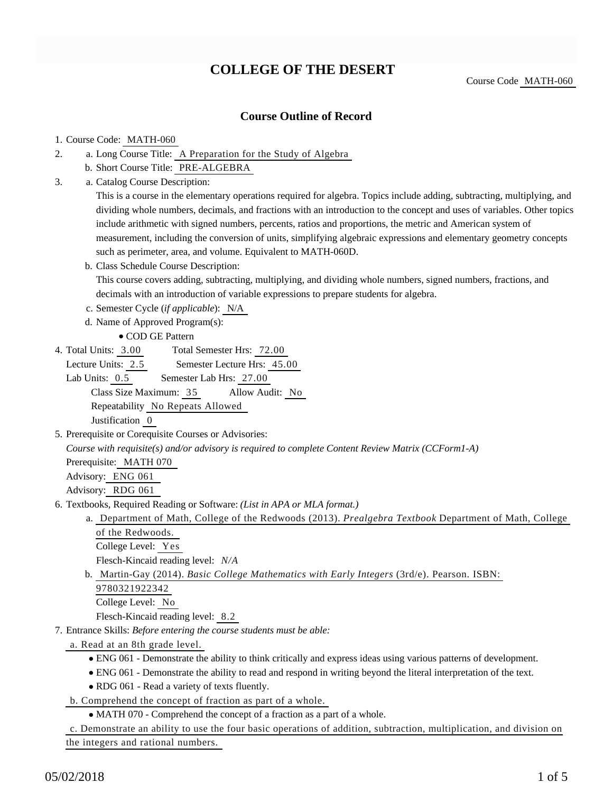## **COLLEGE OF THE DESERT**

Course Code MATH-060

### **Course Outline of Record**

#### 1. Course Code: MATH-060

- a. Long Course Title: A Preparation for the Study of Algebra 2.
	- b. Short Course Title: PRE-ALGEBRA
- Catalog Course Description: a. 3.

This is a course in the elementary operations required for algebra. Topics include adding, subtracting, multiplying, and dividing whole numbers, decimals, and fractions with an introduction to the concept and uses of variables. Other topics include arithmetic with signed numbers, percents, ratios and proportions, the metric and American system of measurement, including the conversion of units, simplifying algebraic expressions and elementary geometry concepts such as perimeter, area, and volume. Equivalent to MATH-060D.

b. Class Schedule Course Description:

This course covers adding, subtracting, multiplying, and dividing whole numbers, signed numbers, fractions, and decimals with an introduction of variable expressions to prepare students for algebra.

- c. Semester Cycle (*if applicable*): N/A
- d. Name of Approved Program(s):
	- COD GE Pattern
- Total Semester Hrs: 72.00 4. Total Units: 3.00

Lecture Units: 2.5 Semester Lecture Hrs: 45.00

- Lab Units:  $0.5$  Semester Lab Hrs: 27.00 Class Size Maximum: 35 Allow Audit: No Repeatability No Repeats Allowed Justification 0
- 5. Prerequisite or Corequisite Courses or Advisories:

*Course with requisite(s) and/or advisory is required to complete Content Review Matrix (CCForm1-A)*

Prerequisite: MATH 070 Advisory: ENG 061

Advisory: RDG 061

- 6. Textbooks, Required Reading or Software: (List in APA or MLA format.)
	- a. Department of Math, College of the Redwoods (2013). *Prealgebra Textbook* Department of Math, College of the Redwoods.

College Level: Yes

Flesch-Kincaid reading level: *N/A*

b. Martin-Gay (2014). *Basic College Mathematics with Early Integers* (3rd/e). Pearson. ISBN:

9780321922342

College Level: No

Flesch-Kincaid reading level: 8.2

- Entrance Skills: *Before entering the course students must be able:* 7.
	- a. Read at an 8th grade level.
		- ENG 061 Demonstrate the ability to think critically and express ideas using various patterns of development.
		- ENG 061 Demonstrate the ability to read and respond in writing beyond the literal interpretation of the text.
		- RDG 061 Read a variety of texts fluently.
	- b. Comprehend the concept of fraction as part of a whole.
		- MATH 070 Comprehend the concept of a fraction as a part of a whole.

c. Demonstrate an ability to use the four basic operations of addition, subtraction, multiplication, and division on the integers and rational numbers.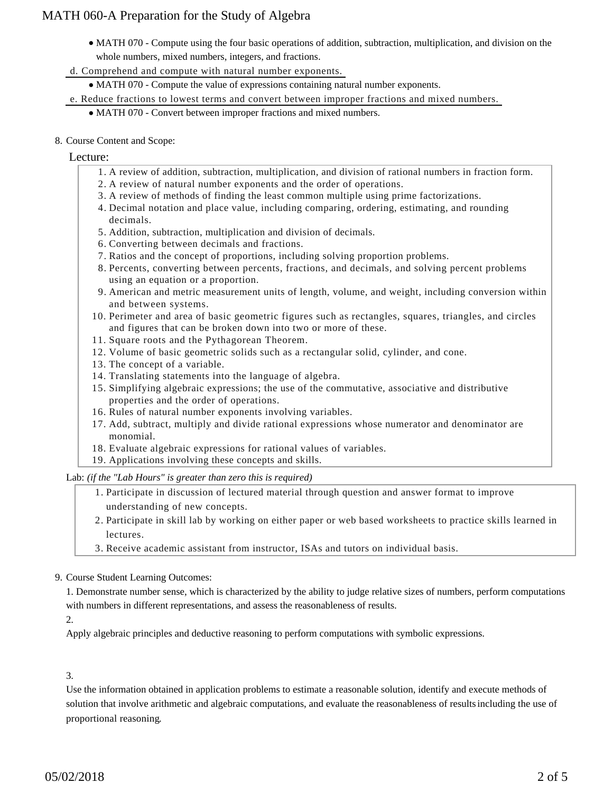- MATH 070 Compute using the four basic operations of addition, subtraction, multiplication, and division on the whole numbers, mixed numbers, integers, and fractions.
- d. Comprehend and compute with natural number exponents.
	- MATH 070 Compute the value of expressions containing natural number exponents.
- e. Reduce fractions to lowest terms and convert between improper fractions and mixed numbers.
	- MATH 070 Convert between improper fractions and mixed numbers.
- 8. Course Content and Scope:

#### Lecture:

- 1. A review of addition, subtraction, multiplication, and division of rational numbers in fraction form.
- 2. A review of natural number exponents and the order of operations.
- 3. A review of methods of finding the least common multiple using prime factorizations.
- 4. Decimal notation and place value, including comparing, ordering, estimating, and rounding decimals.
- 5. Addition, subtraction, multiplication and division of decimals.
- 6. Converting between decimals and fractions.
- 7. Ratios and the concept of proportions, including solving proportion problems.
- 8. Percents, converting between percents, fractions, and decimals, and solving percent problems using an equation or a proportion.
- American and metric measurement units of length, volume, and weight, including conversion within 9. and between systems.
- 10. Perimeter and area of basic geometric figures such as rectangles, squares, triangles, and circles and figures that can be broken down into two or more of these.
- 11. Square roots and the Pythagorean Theorem.
- 12. Volume of basic geometric solids such as a rectangular solid, cylinder, and cone.
- 13. The concept of a variable.
- 14. Translating statements into the language of algebra.
- 15. Simplifying algebraic expressions; the use of the commutative, associative and distributive properties and the order of operations.
- 16. Rules of natural number exponents involving variables.
- 17. Add, subtract, multiply and divide rational expressions whose numerator and denominator are monomial.
- 18. Evaluate algebraic expressions for rational values of variables.
- 19. Applications involving these concepts and skills.

Lab: *(if the "Lab Hours" is greater than zero this is required)*

- 1. Participate in discussion of lectured material through question and answer format to improve understanding of new concepts.
- 2. Participate in skill lab by working on either paper or web based worksheets to practice skills learned in lectures.
- 3. Receive academic assistant from instructor, ISAs and tutors on individual basis.

#### 9. Course Student Learning Outcomes:

1. Demonstrate number sense, which is characterized by the ability to judge relative sizes of numbers, perform computations with numbers in different representations, and assess the reasonableness of results.

 $2^{\circ}$ 

Apply algebraic principles and deductive reasoning to perform computations with symbolic expressions.

#### 3.

Use the information obtained in application problems to estimate a reasonable solution, identify and execute methods of solution that involve arithmetic and algebraic computations, and evaluate the reasonableness of resultsincluding the use of proportional reasoning.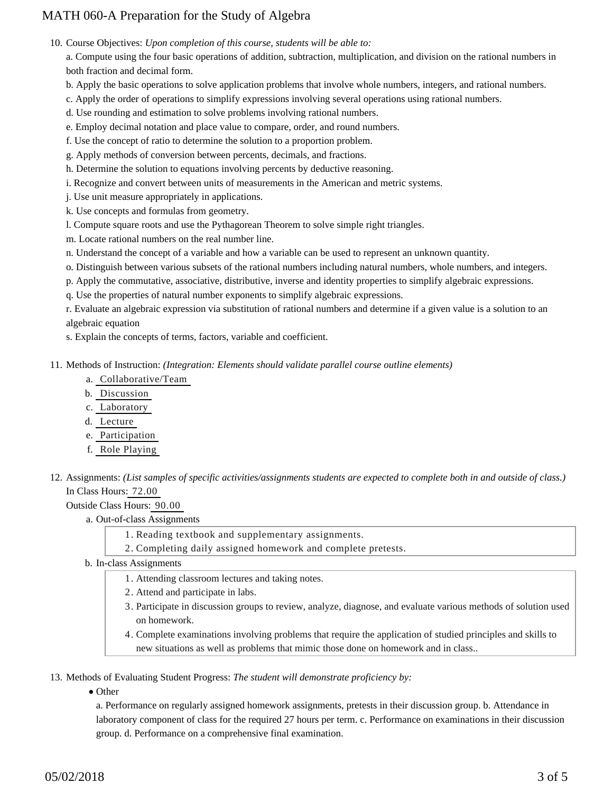10. Course Objectives: Upon completion of this course, students will be able to:

a. Compute using the four basic operations of addition, subtraction, multiplication, and division on the rational numbers in both fraction and decimal form.

- b. Apply the basic operations to solve application problems that involve whole numbers, integers, and rational numbers.
- c. Apply the order of operations to simplify expressions involving several operations using rational numbers.
- d. Use rounding and estimation to solve problems involving rational numbers.
- e. Employ decimal notation and place value to compare, order, and round numbers.
- f. Use the concept of ratio to determine the solution to a proportion problem.
- g. Apply methods of conversion between percents, decimals, and fractions.
- h. Determine the solution to equations involving percents by deductive reasoning.
- i. Recognize and convert between units of measurements in the American and metric systems.
- j. Use unit measure appropriately in applications.
- k. Use concepts and formulas from geometry.
- l. Compute square roots and use the Pythagorean Theorem to solve simple right triangles.
- m. Locate rational numbers on the real number line.
- n. Understand the concept of a variable and how a variable can be used to represent an unknown quantity.
- o. Distinguish between various subsets of the rational numbers including natural numbers, whole numbers, and integers.
- p. Apply the commutative, associative, distributive, inverse and identity properties to simplify algebraic expressions.
- q. Use the properties of natural number exponents to simplify algebraic expressions.

r. Evaluate an algebraic expression via substitution of rational numbers and determine if a given value is a solution to an algebraic equation

s. Explain the concepts of terms, factors, variable and coefficient.

11. Methods of Instruction: *(Integration: Elements should validate parallel course outline elements)* 

- a. Collaborative/Team
- b. Discussion
- c. Laboratory
- d. Lecture
- e. Participation
- f. Role Playing
- 12. Assignments: (List samples of specific activities/assignments students are expected to complete both in and outside of class.) In Class Hours: 72.00

Outside Class Hours: 90.00

- a. Out-of-class Assignments
	- 1. Reading textbook and supplementary assignments.
	- 2. Completing daily assigned homework and complete pretests.
- b. In-class Assignments
	- 1. Attending classroom lectures and taking notes.
	- 2. Attend and participate in labs.
	- Participate in discussion groups to review, analyze, diagnose, and evaluate various methods of solution used 3. on homework.
	- Complete examinations involving problems that require the application of studied principles and skills to 4. new situations as well as problems that mimic those done on homework and in class..

13. Methods of Evaluating Student Progress: The student will demonstrate proficiency by:

• Other

a. Performance on regularly assigned homework assignments, pretests in their discussion group. b. Attendance in laboratory component of class for the required 27 hours per term. c. Performance on examinations in their discussion group. d. Performance on a comprehensive final examination.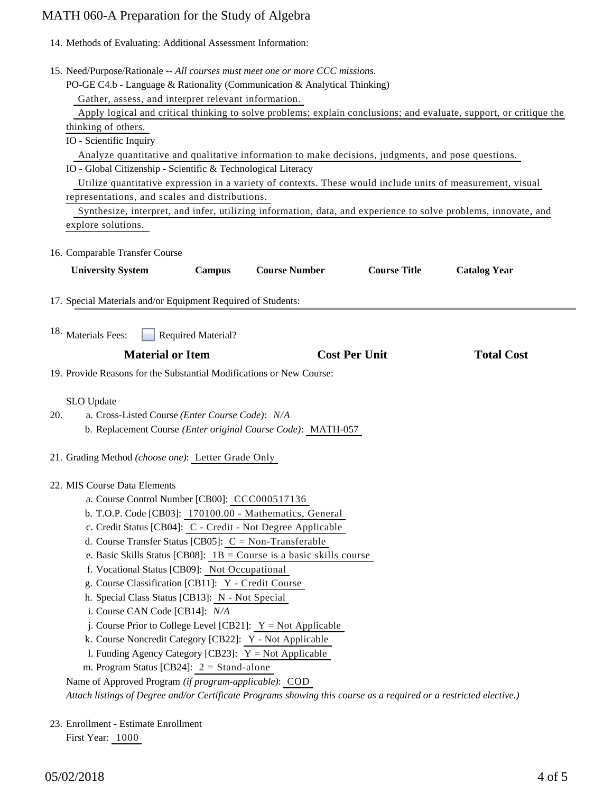14. Methods of Evaluating: Additional Assessment Information:

| 15. Need/Purpose/Rationale -- All courses must meet one or more CCC missions.                                                                                                                                                                                                                                                                                                                                                                                          |                                                                                                                                                                                                                                                                                   |                                                         |                      |                      |                     |  |
|------------------------------------------------------------------------------------------------------------------------------------------------------------------------------------------------------------------------------------------------------------------------------------------------------------------------------------------------------------------------------------------------------------------------------------------------------------------------|-----------------------------------------------------------------------------------------------------------------------------------------------------------------------------------------------------------------------------------------------------------------------------------|---------------------------------------------------------|----------------------|----------------------|---------------------|--|
| PO-GE C4.b - Language & Rationality (Communication & Analytical Thinking)                                                                                                                                                                                                                                                                                                                                                                                              |                                                                                                                                                                                                                                                                                   |                                                         |                      |                      |                     |  |
|                                                                                                                                                                                                                                                                                                                                                                                                                                                                        | Gather, assess, and interpret relevant information.<br>Apply logical and critical thinking to solve problems; explain conclusions; and evaluate, support, or critique the<br>thinking of others.                                                                                  |                                                         |                      |                      |                     |  |
|                                                                                                                                                                                                                                                                                                                                                                                                                                                                        |                                                                                                                                                                                                                                                                                   |                                                         |                      |                      |                     |  |
|                                                                                                                                                                                                                                                                                                                                                                                                                                                                        |                                                                                                                                                                                                                                                                                   |                                                         |                      |                      |                     |  |
|                                                                                                                                                                                                                                                                                                                                                                                                                                                                        | IO - Scientific Inquiry                                                                                                                                                                                                                                                           |                                                         |                      |                      |                     |  |
|                                                                                                                                                                                                                                                                                                                                                                                                                                                                        | Analyze quantitative and qualitative information to make decisions, judgments, and pose questions.<br>IO - Global Citizenship - Scientific & Technological Literacy<br>Utilize quantitative expression in a variety of contexts. These would include units of measurement, visual |                                                         |                      |                      |                     |  |
|                                                                                                                                                                                                                                                                                                                                                                                                                                                                        |                                                                                                                                                                                                                                                                                   |                                                         |                      |                      |                     |  |
|                                                                                                                                                                                                                                                                                                                                                                                                                                                                        |                                                                                                                                                                                                                                                                                   |                                                         |                      |                      |                     |  |
| representations, and scales and distributions.                                                                                                                                                                                                                                                                                                                                                                                                                         |                                                                                                                                                                                                                                                                                   |                                                         |                      |                      |                     |  |
|                                                                                                                                                                                                                                                                                                                                                                                                                                                                        | Synthesize, interpret, and infer, utilizing information, data, and experience to solve problems, innovate, and                                                                                                                                                                    |                                                         |                      |                      |                     |  |
| explore solutions.                                                                                                                                                                                                                                                                                                                                                                                                                                                     |                                                                                                                                                                                                                                                                                   |                                                         |                      |                      |                     |  |
|                                                                                                                                                                                                                                                                                                                                                                                                                                                                        | 16. Comparable Transfer Course                                                                                                                                                                                                                                                    |                                                         |                      |                      |                     |  |
|                                                                                                                                                                                                                                                                                                                                                                                                                                                                        | <b>University System</b>                                                                                                                                                                                                                                                          | <b>Campus</b>                                           | <b>Course Number</b> | <b>Course Title</b>  | <b>Catalog Year</b> |  |
|                                                                                                                                                                                                                                                                                                                                                                                                                                                                        |                                                                                                                                                                                                                                                                                   |                                                         |                      |                      |                     |  |
|                                                                                                                                                                                                                                                                                                                                                                                                                                                                        | 17. Special Materials and/or Equipment Required of Students:                                                                                                                                                                                                                      |                                                         |                      |                      |                     |  |
|                                                                                                                                                                                                                                                                                                                                                                                                                                                                        |                                                                                                                                                                                                                                                                                   |                                                         |                      |                      |                     |  |
|                                                                                                                                                                                                                                                                                                                                                                                                                                                                        | <sup>18.</sup> Materials Fees:<br>Required Material?                                                                                                                                                                                                                              |                                                         |                      |                      |                     |  |
|                                                                                                                                                                                                                                                                                                                                                                                                                                                                        | <b>Material or Item</b>                                                                                                                                                                                                                                                           |                                                         |                      | <b>Cost Per Unit</b> | <b>Total Cost</b>   |  |
| 19. Provide Reasons for the Substantial Modifications or New Course:                                                                                                                                                                                                                                                                                                                                                                                                   |                                                                                                                                                                                                                                                                                   |                                                         |                      |                      |                     |  |
|                                                                                                                                                                                                                                                                                                                                                                                                                                                                        | SLO Update                                                                                                                                                                                                                                                                        |                                                         |                      |                      |                     |  |
| 20.                                                                                                                                                                                                                                                                                                                                                                                                                                                                    | a. Cross-Listed Course (Enter Course Code): N/A                                                                                                                                                                                                                                   |                                                         |                      |                      |                     |  |
|                                                                                                                                                                                                                                                                                                                                                                                                                                                                        | b. Replacement Course (Enter original Course Code): MATH-057                                                                                                                                                                                                                      |                                                         |                      |                      |                     |  |
|                                                                                                                                                                                                                                                                                                                                                                                                                                                                        |                                                                                                                                                                                                                                                                                   |                                                         |                      |                      |                     |  |
|                                                                                                                                                                                                                                                                                                                                                                                                                                                                        | 21. Grading Method (choose one): Letter Grade Only                                                                                                                                                                                                                                |                                                         |                      |                      |                     |  |
|                                                                                                                                                                                                                                                                                                                                                                                                                                                                        | 22. MIS Course Data Elements                                                                                                                                                                                                                                                      |                                                         |                      |                      |                     |  |
|                                                                                                                                                                                                                                                                                                                                                                                                                                                                        |                                                                                                                                                                                                                                                                                   |                                                         |                      |                      |                     |  |
| a. Course Control Number [CB00]: CCC000517136<br>b. T.O.P. Code [CB03]: 170100.00 - Mathematics, General<br>c. Credit Status [CB04]: C - Credit - Not Degree Applicable<br>d. Course Transfer Status [CB05]: $C = Non-Transferable$<br>e. Basic Skills Status [CB08]: $1B =$ Course is a basic skills course<br>f. Vocational Status [CB09]: Not Occupational<br>g. Course Classification [CB11]: Y - Credit Course<br>h. Special Class Status [CB13]: N - Not Special |                                                                                                                                                                                                                                                                                   |                                                         |                      |                      |                     |  |
|                                                                                                                                                                                                                                                                                                                                                                                                                                                                        |                                                                                                                                                                                                                                                                                   |                                                         |                      |                      |                     |  |
|                                                                                                                                                                                                                                                                                                                                                                                                                                                                        |                                                                                                                                                                                                                                                                                   |                                                         |                      |                      |                     |  |
|                                                                                                                                                                                                                                                                                                                                                                                                                                                                        |                                                                                                                                                                                                                                                                                   |                                                         |                      |                      |                     |  |
|                                                                                                                                                                                                                                                                                                                                                                                                                                                                        |                                                                                                                                                                                                                                                                                   |                                                         |                      |                      |                     |  |
|                                                                                                                                                                                                                                                                                                                                                                                                                                                                        |                                                                                                                                                                                                                                                                                   |                                                         |                      |                      |                     |  |
|                                                                                                                                                                                                                                                                                                                                                                                                                                                                        |                                                                                                                                                                                                                                                                                   |                                                         |                      |                      |                     |  |
|                                                                                                                                                                                                                                                                                                                                                                                                                                                                        |                                                                                                                                                                                                                                                                                   |                                                         |                      |                      |                     |  |
|                                                                                                                                                                                                                                                                                                                                                                                                                                                                        | i. Course CAN Code [CB14]: N/A                                                                                                                                                                                                                                                    |                                                         |                      |                      |                     |  |
|                                                                                                                                                                                                                                                                                                                                                                                                                                                                        | j. Course Prior to College Level [CB21]: $Y = Not$ Applicable                                                                                                                                                                                                                     |                                                         |                      |                      |                     |  |
|                                                                                                                                                                                                                                                                                                                                                                                                                                                                        | k. Course Noncredit Category [CB22]: Y - Not Applicable                                                                                                                                                                                                                           |                                                         |                      |                      |                     |  |
|                                                                                                                                                                                                                                                                                                                                                                                                                                                                        |                                                                                                                                                                                                                                                                                   | 1. Funding Agency Category [CB23]: $Y = Not$ Applicable |                      |                      |                     |  |
|                                                                                                                                                                                                                                                                                                                                                                                                                                                                        | m. Program Status [CB24]: $2 =$ Stand-alone                                                                                                                                                                                                                                       |                                                         |                      |                      |                     |  |
| Name of Approved Program (if program-applicable): COD                                                                                                                                                                                                                                                                                                                                                                                                                  |                                                                                                                                                                                                                                                                                   |                                                         |                      |                      |                     |  |
|                                                                                                                                                                                                                                                                                                                                                                                                                                                                        | Attach listings of Degree and/or Certificate Programs showing this course as a required or a restricted elective.)                                                                                                                                                                |                                                         |                      |                      |                     |  |
|                                                                                                                                                                                                                                                                                                                                                                                                                                                                        | 23. Enrollment - Estimate Enrollment                                                                                                                                                                                                                                              |                                                         |                      |                      |                     |  |

First Year: 1000